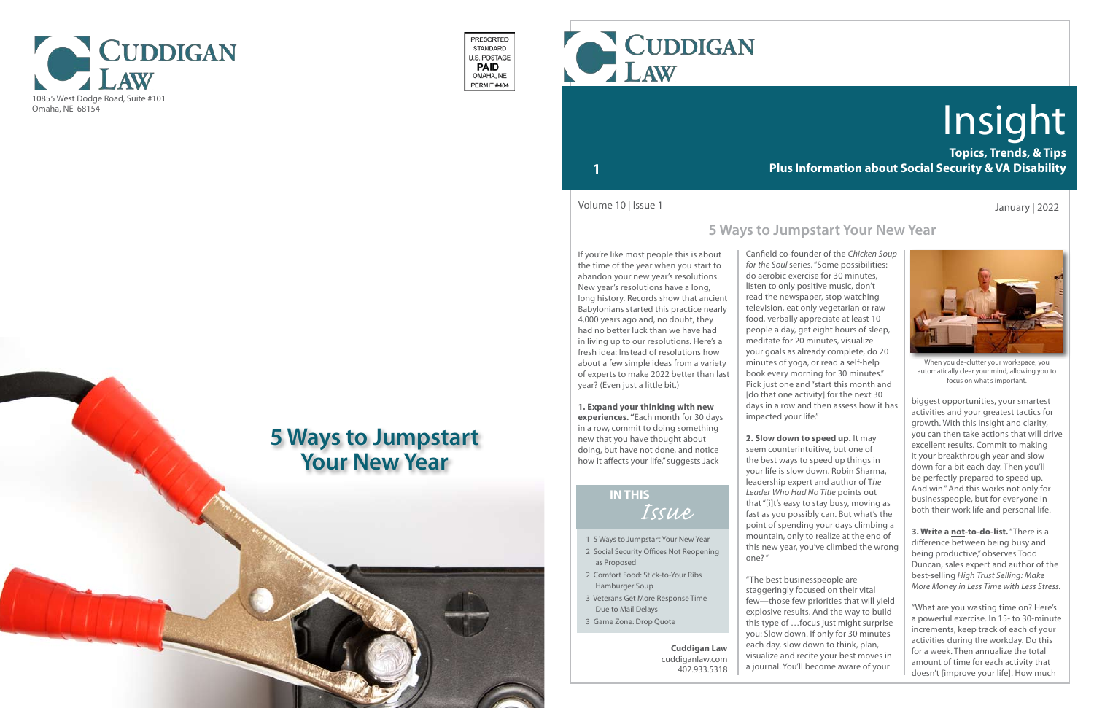

- 1 5 Ways to Jumpstart Your New Year
- 2 Social Security Offices Not Reopening as Proposed
- 2 Comfort Food: Stick-to-Your Ribs Hamburger Soup
- 3 Veterans Get More Response Time Due to Mail Delays
- 3 Game Zone: Drop Quote

## *Issue* **IN THIS**

**Topics, Trends, & Tips Plus Information about Social Security & VA Disability**

# Insight

## **1**



When you de-clutter your workspace, you automatically clear your mind, allowing you to focus on what's important.

If you're like most people this is about the time of the year when you start to abandon your new year's resolutions. New year's resolutions have a long, long history. Records show that ancient Babylonians started this practice nearly 4,000 years ago and, no doubt, they had no better luck than we have had in living up to our resolutions. Here's a fresh idea: Instead of resolutions how about a few simple ideas from a variety of experts to make 2022 better than last year? (Even just a little bit.)

**1. Expand your thinking with new experiences. "**Each month for 30 days in a row, commit to doing something new that you have thought about doing, but have not done, and notice how it affects your life," suggests Jack

January | 2022

Canfield co-founder of the *Chicken Soup for the Soul* series. "Some possibilities: do aerobic exercise for 30 minutes, listen to only positive music, don't read the newspaper, stop watching television, eat only vegetarian or raw food, verbally appreciate at least 10 people a day, get eight hours of sleep, meditate for 20 minutes, visualize your goals as already complete, do 20 minutes of yoga, or read a self-help book every morning for 30 minutes." Pick just one and "start this month and [do that one activity] for the next 30 days in a row and then assess how it has impacted your life."

**2. Slow down to speed up.** It may seem counterintuitive, but one of the best ways to speed up things in your life is slow down. Robin Sharma, leadership expert and author of T*he Leader Who Had No Title* points out that "[i]t's easy to stay busy, moving as fast as you possibly can. But what's the point of spending your days climbing a mountain, only to realize at the end of this new year, you've climbed the wrong one? "

"The best businesspeople are staggeringly focused on their vital few—those few priorities that will yield explosive results. And the way to build this type of …focus just might surprise you: Slow down. If only for 30 minutes each day, slow down to think, plan, visualize and recite your best moves in a journal. You'll become aware of your

Volume 10 | Issue 1

**Cuddigan Law** cuddiganlaw.com 402.933.5318



PRESORTED STANDARD U.S. POSTAGE **PAID** OMAHA, NE PERMIT#484

> biggest opportunities, your smartest activities and your greatest tactics for growth. With this insight and clarity, you can then take actions that will drive excellent results. Commit to making it your breakthrough year and slow down for a bit each day. Then you'll be perfectly prepared to speed up. And win." And this works not only for businesspeople, but for everyone in both their work life and personal life.

**3. Write a not-to-do-list.** "There is a difference between being busy and being productive," observes Todd Duncan, sales expert and author of the best-selling *High Trust Selling: Make More Money in Less Time with Less Stress.* 

"What are you wasting time on? Here's a powerful exercise. In 15- to 30-minute increments, keep track of each of your activities during the workday. Do this for a week. Then annualize the total amount of time for each activity that doesn't [improve your life]. How much

## **5 Ways to Jumpstart Your New Year**

# **5 Ways to Jumpstart Your New Year**